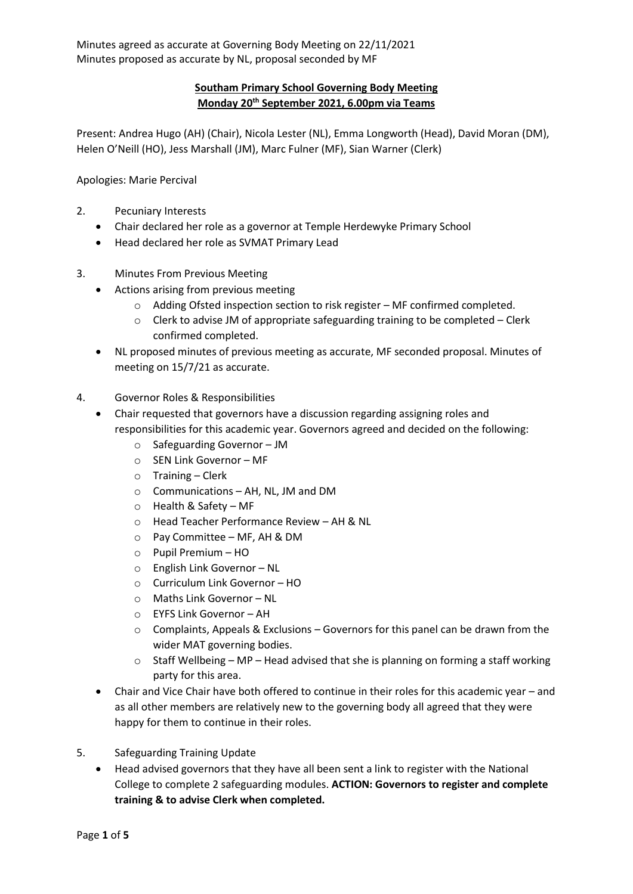## **Southam Primary School Governing Body Meeting Monday 20th September 2021, 6.00pm via Teams**

Present: Andrea Hugo (AH) (Chair), Nicola Lester (NL), Emma Longworth (Head), David Moran (DM), Helen O'Neill (HO), Jess Marshall (JM), Marc Fulner (MF), Sian Warner (Clerk)

Apologies: Marie Percival

- 2. Pecuniary Interests
	- Chair declared her role as a governor at Temple Herdewyke Primary School
	- Head declared her role as SVMAT Primary Lead
- 3. Minutes From Previous Meeting
	- Actions arising from previous meeting
		- o Adding Ofsted inspection section to risk register MF confirmed completed.
		- o Clerk to advise JM of appropriate safeguarding training to be completed Clerk confirmed completed.
	- NL proposed minutes of previous meeting as accurate, MF seconded proposal. Minutes of meeting on 15/7/21 as accurate.
- 4. Governor Roles & Responsibilities
	- Chair requested that governors have a discussion regarding assigning roles and responsibilities for this academic year. Governors agreed and decided on the following:
		- o Safeguarding Governor JM
		- o SEN Link Governor MF
		- o Training Clerk
		- o Communications AH, NL, JM and DM
		- o Health & Safety MF
		- o Head Teacher Performance Review AH & NL
		- o Pay Committee MF, AH & DM
		- o Pupil Premium HO
		- o English Link Governor NL
		- o Curriculum Link Governor HO
		- o Maths Link Governor NL
		- o EYFS Link Governor AH
		- $\circ$  Complaints, Appeals & Exclusions Governors for this panel can be drawn from the wider MAT governing bodies.
		- $\circ$  Staff Wellbeing MP Head advised that she is planning on forming a staff working party for this area.
	- Chair and Vice Chair have both offered to continue in their roles for this academic year and as all other members are relatively new to the governing body all agreed that they were happy for them to continue in their roles.
- 5. Safeguarding Training Update
	- Head advised governors that they have all been sent a link to register with the National College to complete 2 safeguarding modules. **ACTION: Governors to register and complete training & to advise Clerk when completed.**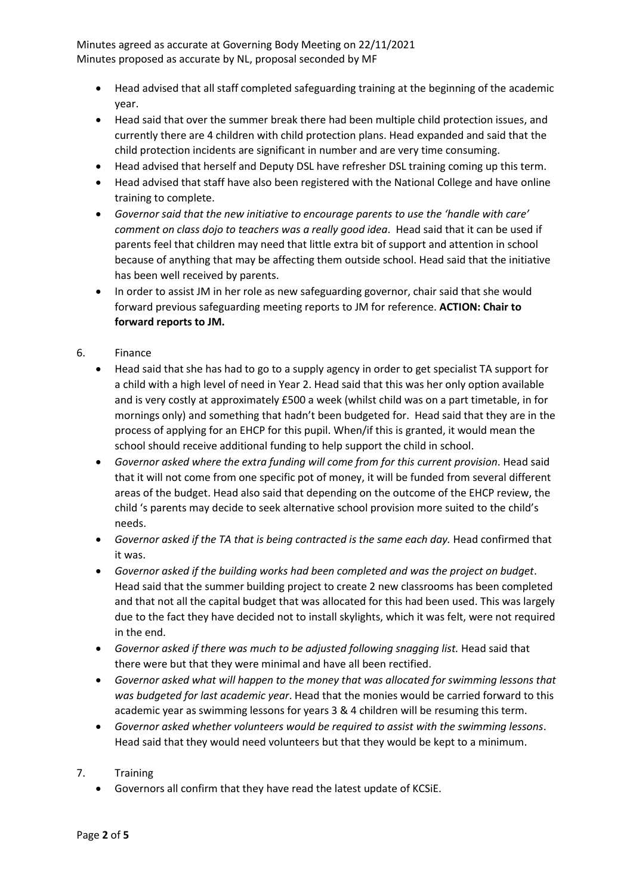- Head advised that all staff completed safeguarding training at the beginning of the academic year.
- Head said that over the summer break there had been multiple child protection issues, and currently there are 4 children with child protection plans. Head expanded and said that the child protection incidents are significant in number and are very time consuming.
- Head advised that herself and Deputy DSL have refresher DSL training coming up this term.
- Head advised that staff have also been registered with the National College and have online training to complete.
- *Governor said that the new initiative to encourage parents to use the 'handle with care' comment on class dojo to teachers was a really good idea*. Head said that it can be used if parents feel that children may need that little extra bit of support and attention in school because of anything that may be affecting them outside school. Head said that the initiative has been well received by parents.
- In order to assist JM in her role as new safeguarding governor, chair said that she would forward previous safeguarding meeting reports to JM for reference. **ACTION: Chair to forward reports to JM.**
- 6. Finance
	- Head said that she has had to go to a supply agency in order to get specialist TA support for a child with a high level of need in Year 2. Head said that this was her only option available and is very costly at approximately £500 a week (whilst child was on a part timetable, in for mornings only) and something that hadn't been budgeted for. Head said that they are in the process of applying for an EHCP for this pupil. When/if this is granted, it would mean the school should receive additional funding to help support the child in school.
	- *Governor asked where the extra funding will come from for this current provision*. Head said that it will not come from one specific pot of money, it will be funded from several different areas of the budget. Head also said that depending on the outcome of the EHCP review, the child 's parents may decide to seek alternative school provision more suited to the child's needs.
	- *Governor asked if the TA that is being contracted is the same each day.* Head confirmed that it was.
	- *Governor asked if the building works had been completed and was the project on budget*. Head said that the summer building project to create 2 new classrooms has been completed and that not all the capital budget that was allocated for this had been used. This was largely due to the fact they have decided not to install skylights, which it was felt, were not required in the end.
	- *Governor asked if there was much to be adjusted following snagging list.* Head said that there were but that they were minimal and have all been rectified.
	- *Governor asked what will happen to the money that was allocated for swimming lessons that was budgeted for last academic year*. Head that the monies would be carried forward to this academic year as swimming lessons for years 3 & 4 children will be resuming this term.
	- *Governor asked whether volunteers would be required to assist with the swimming lessons*. Head said that they would need volunteers but that they would be kept to a minimum.
- 7. Training
	- Governors all confirm that they have read the latest update of KCSiE.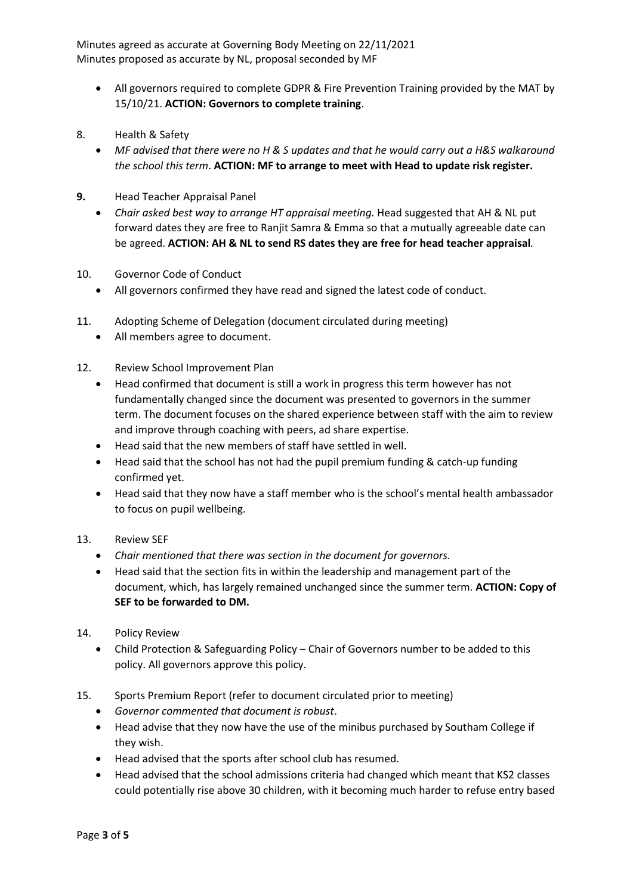- All governors required to complete GDPR & Fire Prevention Training provided by the MAT by 15/10/21. **ACTION: Governors to complete training**.
- 8. Health & Safety
	- *MF advised that there were no H & S updates and that he would carry out a H&S walkaround the school this term*. **ACTION: MF to arrange to meet with Head to update risk register.**
- **9.** Head Teacher Appraisal Panel
	- *Chair asked best way to arrange HT appraisal meeting.* Head suggested that AH & NL put forward dates they are free to Ranjit Samra & Emma so that a mutually agreeable date can be agreed. **ACTION: AH & NL to send RS dates they are free for head teacher appraisal***.*
- 10. Governor Code of Conduct
	- All governors confirmed they have read and signed the latest code of conduct.
- 11. Adopting Scheme of Delegation (document circulated during meeting)
	- All members agree to document.
- 12. Review School Improvement Plan
	- Head confirmed that document is still a work in progress this term however has not fundamentally changed since the document was presented to governors in the summer term. The document focuses on the shared experience between staff with the aim to review and improve through coaching with peers, ad share expertise.
	- Head said that the new members of staff have settled in well.
	- Head said that the school has not had the pupil premium funding & catch-up funding confirmed yet.
	- Head said that they now have a staff member who is the school's mental health ambassador to focus on pupil wellbeing.

## 13. Review SEF

- *Chair mentioned that there was section in the document for governors.*
- Head said that the section fits in within the leadership and management part of the document, which, has largely remained unchanged since the summer term. **ACTION: Copy of SEF to be forwarded to DM.**
- 14. Policy Review
	- Child Protection & Safeguarding Policy Chair of Governors number to be added to this policy. All governors approve this policy.
- 15. Sports Premium Report (refer to document circulated prior to meeting)
	- *Governor commented that document is robust*.
	- Head advise that they now have the use of the minibus purchased by Southam College if they wish.
	- Head advised that the sports after school club has resumed.
	- Head advised that the school admissions criteria had changed which meant that KS2 classes could potentially rise above 30 children, with it becoming much harder to refuse entry based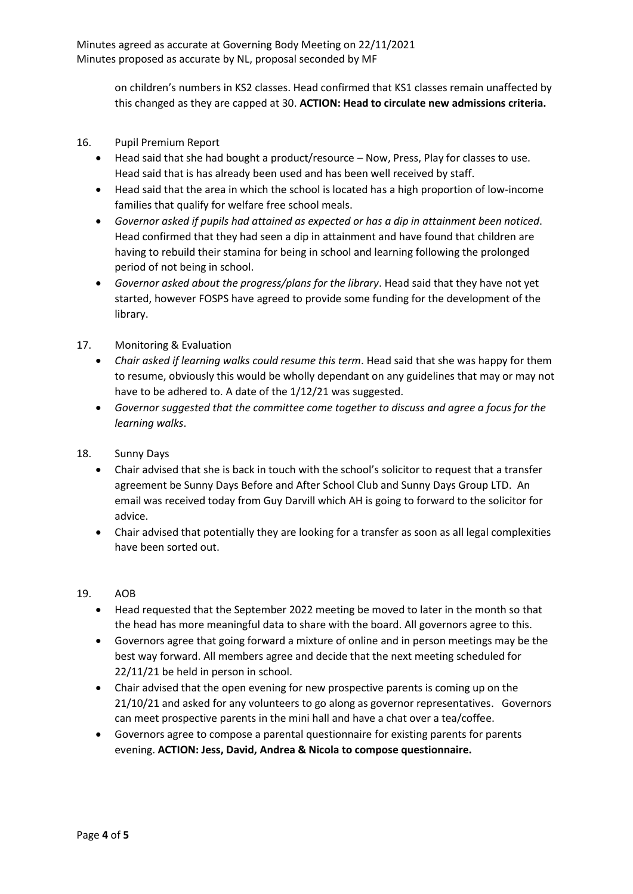> on children's numbers in KS2 classes. Head confirmed that KS1 classes remain unaffected by this changed as they are capped at 30. **ACTION: Head to circulate new admissions criteria.**

- 16. Pupil Premium Report
	- Head said that she had bought a product/resource Now, Press, Play for classes to use. Head said that is has already been used and has been well received by staff.
	- Head said that the area in which the school is located has a high proportion of low-income families that qualify for welfare free school meals.
	- *Governor asked if pupils had attained as expected or has a dip in attainment been noticed*. Head confirmed that they had seen a dip in attainment and have found that children are having to rebuild their stamina for being in school and learning following the prolonged period of not being in school.
	- *Governor asked about the progress/plans for the library*. Head said that they have not yet started, however FOSPS have agreed to provide some funding for the development of the library.
- 17. Monitoring & Evaluation
	- *Chair asked if learning walks could resume this term*. Head said that she was happy for them to resume, obviously this would be wholly dependant on any guidelines that may or may not have to be adhered to. A date of the 1/12/21 was suggested.
	- *Governor suggested that the committee come together to discuss and agree a focus for the learning walks*.
- 18. Sunny Days
	- Chair advised that she is back in touch with the school's solicitor to request that a transfer agreement be Sunny Days Before and After School Club and Sunny Days Group LTD. An email was received today from Guy Darvill which AH is going to forward to the solicitor for advice.
	- Chair advised that potentially they are looking for a transfer as soon as all legal complexities have been sorted out.

## 19. AOB

- Head requested that the September 2022 meeting be moved to later in the month so that the head has more meaningful data to share with the board. All governors agree to this.
- Governors agree that going forward a mixture of online and in person meetings may be the best way forward. All members agree and decide that the next meeting scheduled for 22/11/21 be held in person in school.
- Chair advised that the open evening for new prospective parents is coming up on the 21/10/21 and asked for any volunteers to go along as governor representatives. Governors can meet prospective parents in the mini hall and have a chat over a tea/coffee.
- Governors agree to compose a parental questionnaire for existing parents for parents evening. **ACTION: Jess, David, Andrea & Nicola to compose questionnaire.**